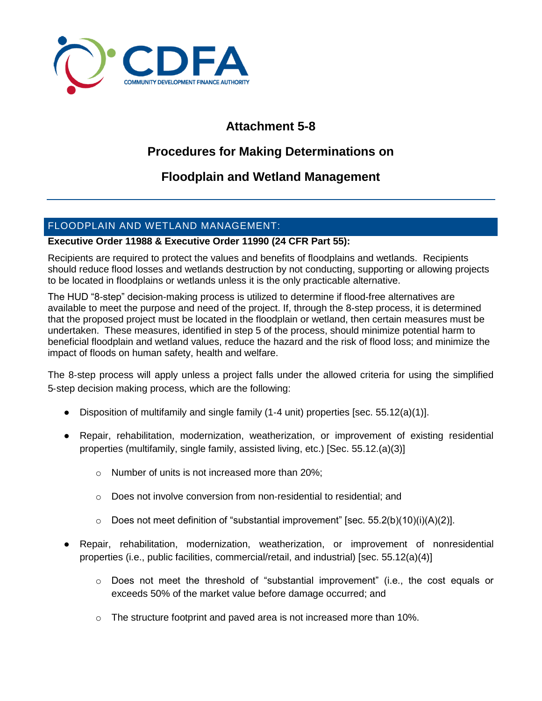

# **Attachment 5-8**

## **Procedures for Making Determinations on**

## **Floodplain and Wetland Management**

### FLOODPLAIN AND WETLAND MANAGEMENT:

### **Executive Order 11988 & Executive Order 11990 (24 CFR Part 55):**

Recipients are required to protect the values and benefits of floodplains and wetlands. Recipients should reduce flood losses and wetlands destruction by not conducting, supporting or allowing projects to be located in floodplains or wetlands unless it is the only practicable alternative.

The HUD "8-step" decision-making process is utilized to determine if flood-free alternatives are available to meet the purpose and need of the project. If, through the 8-step process, it is determined that the proposed project must be located in the floodplain or wetland, then certain measures must be undertaken. These measures, identified in step 5 of the process, should minimize potential harm to beneficial floodplain and wetland values, reduce the hazard and the risk of flood loss; and minimize the impact of floods on human safety, health and welfare.

The 8-step process will apply unless a project falls under the allowed criteria for using the simplified 5‐step decision making process, which are the following:

- Disposition of multifamily and single family (1-4 unit) properties [sec. 55.12(a)(1)].
- Repair, rehabilitation, modernization, weatherization, or improvement of existing residential properties (multifamily, single family, assisted living, etc.) [Sec. 55.12.(a)(3)]
	- o Number of units is not increased more than 20%;
	- o Does not involve conversion from non‐residential to residential; and
	- $\circ$  Does not meet definition of "substantial improvement" [sec. 55.2(b)(10)(i)(A)(2)].
- Repair, rehabilitation, modernization, weatherization, or improvement of nonresidential properties (i.e., public facilities, commercial/retail, and industrial) [sec. 55.12(a)(4)]
	- $\circ$  Does not meet the threshold of "substantial improvement" (i.e., the cost equals or exceeds 50% of the market value before damage occurred; and
	- $\circ$  The structure footprint and paved area is not increased more than 10%.